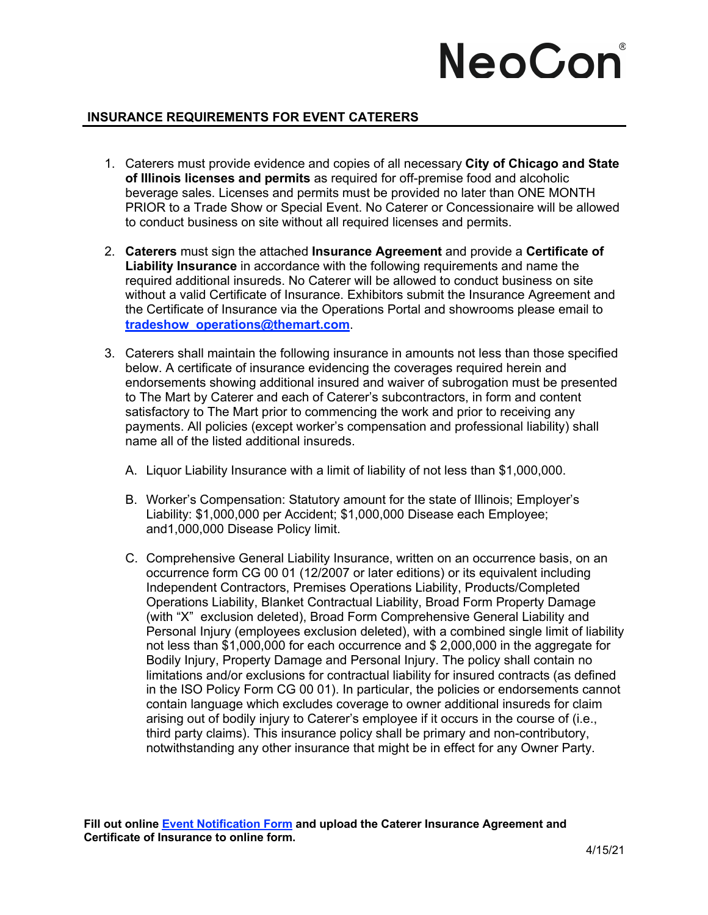# NeoCor

### **INSURANCE REQUIREMENTS FOR EVENT CATERERS**

- 1. Caterers must provide evidence and copies of all necessary **City of Chicago and State of Illinois licenses and permits** as required for off-premise food and alcoholic beverage sales. Licenses and permits must be provided no later than ONE MONTH PRIOR to a Trade Show or Special Event. No Caterer or Concessionaire will be allowed to conduct business on site without all required licenses and permits.
- 2. **Caterers** must sign the attached **Insurance Agreement** and provide a **Certificate of Liability Insurance** in accordance with the following requirements and name the required additional insureds. No Caterer will be allowed to conduct business on site without a valid Certificate of Insurance. Exhibitors submit the Insurance Agreement and the Certificate of Insurance via the Operations Portal and showrooms please email to **tradeshow\_operations@themart.com**.
- 3. Caterers shall maintain the following insurance in amounts not less than those specified below. A certificate of insurance evidencing the coverages required herein and endorsements showing additional insured and waiver of subrogation must be presented to The Mart by Caterer and each of Caterer's subcontractors, in form and content satisfactory to The Mart prior to commencing the work and prior to receiving any payments. All policies (except worker's compensation and professional liability) shall name all of the listed additional insureds.
	- A. Liquor Liability Insurance with a limit of liability of not less than \$1,000,000.
	- B. Worker's Compensation: Statutory amount for the state of Illinois; Employer's Liability: \$1,000,000 per Accident; \$1,000,000 Disease each Employee; and1,000,000 Disease Policy limit.
	- C. Comprehensive General Liability Insurance, written on an occurrence basis, on an occurrence form CG 00 01 (12/2007 or later editions) or its equivalent including Independent Contractors, Premises Operations Liability, Products/Completed Operations Liability, Blanket Contractual Liability, Broad Form Property Damage (with "X" exclusion deleted), Broad Form Comprehensive General Liability and Personal Injury (employees exclusion deleted), with a combined single limit of liability not less than \$1,000,000 for each occurrence and \$ 2,000,000 in the aggregate for Bodily Injury, Property Damage and Personal Injury. The policy shall contain no limitations and/or exclusions for contractual liability for insured contracts (as defined in the ISO Policy Form CG 00 01). In particular, the policies or endorsements cannot contain language which excludes coverage to owner additional insureds for claim arising out of bodily injury to Caterer's employee if it occurs in the course of (i.e., third party claims). This insurance policy shall be primary and non-contributory, notwithstanding any other insurance that might be in effect for any Owner Party.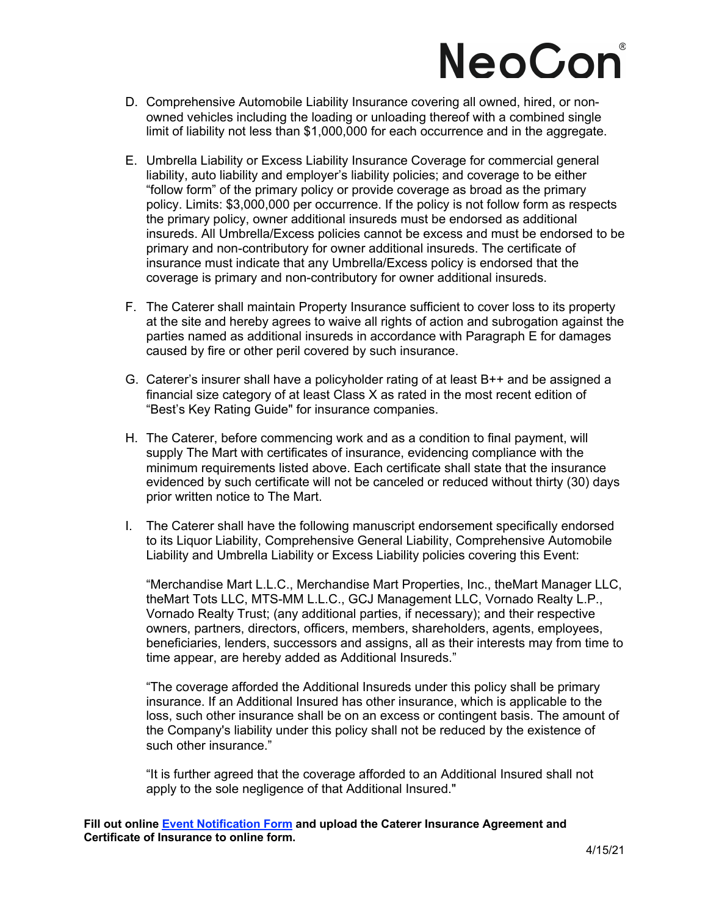## NeoCon

- D. Comprehensive Automobile Liability Insurance covering all owned, hired, or nonowned vehicles including the loading or unloading thereof with a combined single limit of liability not less than \$1,000,000 for each occurrence and in the aggregate.
- E. Umbrella Liability or Excess Liability Insurance Coverage for commercial general liability, auto liability and employer's liability policies; and coverage to be either "follow form" of the primary policy or provide coverage as broad as the primary policy. Limits: \$3,000,000 per occurrence. If the policy is not follow form as respects the primary policy, owner additional insureds must be endorsed as additional insureds. All Umbrella/Excess policies cannot be excess and must be endorsed to be primary and non-contributory for owner additional insureds. The certificate of insurance must indicate that any Umbrella/Excess policy is endorsed that the coverage is primary and non-contributory for owner additional insureds.
- F. The Caterer shall maintain Property Insurance sufficient to cover loss to its property at the site and hereby agrees to waive all rights of action and subrogation against the parties named as additional insureds in accordance with Paragraph E for damages caused by fire or other peril covered by such insurance.
- G. Caterer's insurer shall have a policyholder rating of at least B++ and be assigned a financial size category of at least Class X as rated in the most recent edition of "Best's Key Rating Guide" for insurance companies.
- H. The Caterer, before commencing work and as a condition to final payment, will supply The Mart with certificates of insurance, evidencing compliance with the minimum requirements listed above. Each certificate shall state that the insurance evidenced by such certificate will not be canceled or reduced without thirty (30) days prior written notice to The Mart.
- I. The Caterer shall have the following manuscript endorsement specifically endorsed to its Liquor Liability, Comprehensive General Liability, Comprehensive Automobile Liability and Umbrella Liability or Excess Liability policies covering this Event:

"Merchandise Mart L.L.C., Merchandise Mart Properties, Inc., theMart Manager LLC, theMart Tots LLC, MTS-MM L.L.C., GCJ Management LLC, Vornado Realty L.P., Vornado Realty Trust; (any additional parties, if necessary); and their respective owners, partners, directors, officers, members, shareholders, agents, employees, beneficiaries, lenders, successors and assigns, all as their interests may from time to time appear, are hereby added as Additional Insureds."

"The coverage afforded the Additional Insureds under this policy shall be primary insurance. If an Additional Insured has other insurance, which is applicable to the loss, such other insurance shall be on an excess or contingent basis. The amount of the Company's liability under this policy shall not be reduced by the existence of such other insurance."

"It is further agreed that the coverage afforded to an Additional Insured shall not apply to the sole negligence of that Additional Insured."